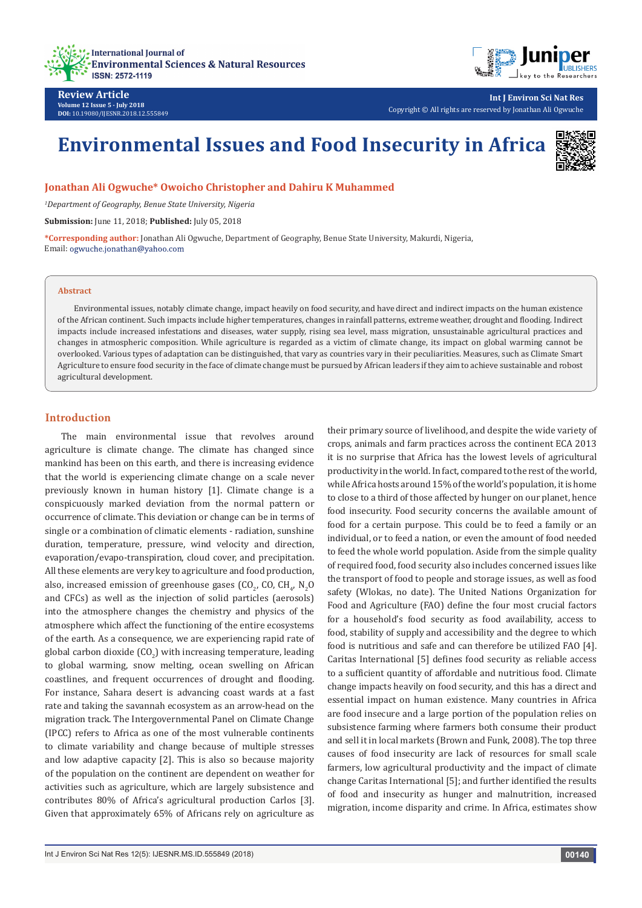



**Int J Environ Sci Nat Res** Copyright © All rights are reserved by Jonathan Ali Ogwuche

# **Environmental Issues and Food Insecurity in Africa**



**Jonathan Ali Ogwuche\* Owoicho Christopher and Dahiru K Muhammed**

*1 Department of Geography, Benue State University, Nigeria*

**Submission:** June 11, 2018; **Published:** July 05, 2018

**\*Corresponding author:** Jonathan Ali Ogwuche, Department of Geography, Benue State University, Makurdi, Nigeria, Email: ogwuche.jonathan@yahoo.com

#### **Abstract**

Environmental issues, notably climate change, impact heavily on food security, and have direct and indirect impacts on the human existence of the African continent. Such impacts include higher temperatures, changes in rainfall patterns, extreme weather, drought and flooding. Indirect impacts include increased infestations and diseases, water supply, rising sea level, mass migration, unsustainable agricultural practices and changes in atmospheric composition. While agriculture is regarded as a victim of climate change, its impact on global warming cannot be overlooked. Various types of adaptation can be distinguished, that vary as countries vary in their peculiarities. Measures, such as Climate Smart Agriculture to ensure food security in the face of climate change must be pursued by African leaders if they aim to achieve sustainable and robost agricultural development.

## **Introduction**

The main environmental issue that revolves around agriculture is climate change. The climate has changed since mankind has been on this earth, and there is increasing evidence that the world is experiencing climate change on a scale never previously known in human history [1]. Climate change is a conspicuously marked deviation from the normal pattern or occurrence of climate. This deviation or change can be in terms of single or a combination of climatic elements - radiation, sunshine duration, temperature, pressure, wind velocity and direction, evaporation/evapo-transpiration, cloud cover, and precipitation. All these elements are very key to agriculture and food production, also, increased emission of greenhouse gases (CO<sub>2</sub>, CO, CH<sub>4</sub>, N<sub>2</sub>O) and CFCs) as well as the injection of solid particles (aerosols) into the atmosphere changes the chemistry and physics of the atmosphere which affect the functioning of the entire ecosystems of the earth. As a consequence, we are experiencing rapid rate of global carbon dioxide (CO<sub>2</sub>) with increasing temperature, leading to global warming, snow melting, ocean swelling on African coastlines, and frequent occurrences of drought and flooding. For instance, Sahara desert is advancing coast wards at a fast rate and taking the savannah ecosystem as an arrow-head on the migration track. The Intergovernmental Panel on Climate Change (IPCC) refers to Africa as one of the most vulnerable continents to climate variability and change because of multiple stresses and low adaptive capacity [2]. This is also so because majority of the population on the continent are dependent on weather for activities such as agriculture, which are largely subsistence and contributes 80% of Africa's agricultural production Carlos [3]. Given that approximately 65% of Africans rely on agriculture as

their primary source of livelihood, and despite the wide variety of crops, animals and farm practices across the continent ECA 2013 it is no surprise that Africa has the lowest levels of agricultural productivity in the world. In fact, compared to the rest of the world, while Africa hosts around 15% of the world's population, it is home to close to a third of those affected by hunger on our planet, hence food insecurity. Food security concerns the available amount of food for a certain purpose. This could be to feed a family or an individual, or to feed a nation, or even the amount of food needed to feed the whole world population. Aside from the simple quality of required food, food security also includes concerned issues like the transport of food to people and storage issues, as well as food safety (Wlokas, no date). The United Nations Organization for Food and Agriculture (FAO) define the four most crucial factors for a household's food security as food availability, access to food, stability of supply and accessibility and the degree to which food is nutritious and safe and can therefore be utilized FAO [4]. Caritas International [5] defines food security as reliable access to a sufficient quantity of affordable and nutritious food. Climate change impacts heavily on food security, and this has a direct and essential impact on human existence. Many countries in Africa are food insecure and a large portion of the population relies on subsistence farming where farmers both consume their product and sell it in local markets (Brown and Funk, 2008). The top three causes of food insecurity are lack of resources for small scale farmers, low agricultural productivity and the impact of climate change Caritas International [5]; and further identified the results of food and insecurity as hunger and malnutrition, increased migration, income disparity and crime. In Africa, estimates show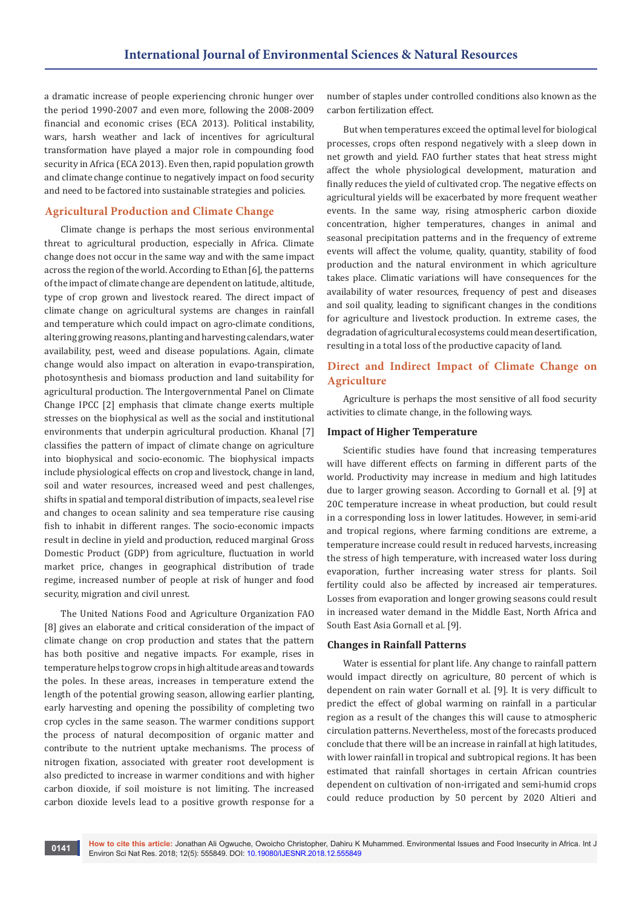a dramatic increase of people experiencing chronic hunger over the period 1990-2007 and even more, following the 2008-2009 financial and economic crises (ECA 2013). Political instability, wars, harsh weather and lack of incentives for agricultural transformation have played a major role in compounding food security in Africa (ECA 2013). Even then, rapid population growth and climate change continue to negatively impact on food security and need to be factored into sustainable strategies and policies.

# **Agricultural Production and Climate Change**

Climate change is perhaps the most serious environmental threat to agricultural production, especially in Africa. Climate change does not occur in the same way and with the same impact across the region of the world. According to Ethan [6], the patterns of the impact of climate change are dependent on latitude, altitude, type of crop grown and livestock reared. The direct impact of climate change on agricultural systems are changes in rainfall and temperature which could impact on agro-climate conditions, altering growing reasons, planting and harvesting calendars, water availability, pest, weed and disease populations. Again, climate change would also impact on alteration in evapo-transpiration, photosynthesis and biomass production and land suitability for agricultural production. The Intergovernmental Panel on Climate Change IPCC [2] emphasis that climate change exerts multiple stresses on the biophysical as well as the social and institutional environments that underpin agricultural production. Khanal [7] classifies the pattern of impact of climate change on agriculture into biophysical and socio-economic. The biophysical impacts include physiological effects on crop and livestock, change in land, soil and water resources, increased weed and pest challenges, shifts in spatial and temporal distribution of impacts, sea level rise and changes to ocean salinity and sea temperature rise causing fish to inhabit in different ranges. The socio-economic impacts result in decline in yield and production, reduced marginal Gross Domestic Product (GDP) from agriculture, fluctuation in world market price, changes in geographical distribution of trade regime, increased number of people at risk of hunger and food security, migration and civil unrest.

The United Nations Food and Agriculture Organization FAO [8] gives an elaborate and critical consideration of the impact of climate change on crop production and states that the pattern has both positive and negative impacts. For example, rises in temperature helps to grow crops in high altitude areas and towards the poles. In these areas, increases in temperature extend the length of the potential growing season, allowing earlier planting, early harvesting and opening the possibility of completing two crop cycles in the same season. The warmer conditions support the process of natural decomposition of organic matter and contribute to the nutrient uptake mechanisms. The process of nitrogen fixation, associated with greater root development is also predicted to increase in warmer conditions and with higher carbon dioxide, if soil moisture is not limiting. The increased carbon dioxide levels lead to a positive growth response for a

number of staples under controlled conditions also known as the carbon fertilization effect.

But when temperatures exceed the optimal level for biological processes, crops often respond negatively with a sleep down in net growth and yield. FAO further states that heat stress might affect the whole physiological development, maturation and finally reduces the yield of cultivated crop. The negative effects on agricultural yields will be exacerbated by more frequent weather events. In the same way, rising atmospheric carbon dioxide concentration, higher temperatures, changes in animal and seasonal precipitation patterns and in the frequency of extreme events will affect the volume, quality, quantity, stability of food production and the natural environment in which agriculture takes place. Climatic variations will have consequences for the availability of water resources, frequency of pest and diseases and soil quality, leading to significant changes in the conditions for agriculture and livestock production. In extreme cases, the degradation of agricultural ecosystems could mean desertification, resulting in a total loss of the productive capacity of land.

# **Direct and Indirect Impact of Climate Change on Agriculture**

Agriculture is perhaps the most sensitive of all food security activities to climate change, in the following ways.

#### **Impact of Higher Temperature**

Scientific studies have found that increasing temperatures will have different effects on farming in different parts of the world. Productivity may increase in medium and high latitudes due to larger growing season. According to Gornall et al. [9] at 20C temperature increase in wheat production, but could result in a corresponding loss in lower latitudes. However, in semi-arid and tropical regions, where farming conditions are extreme, a temperature increase could result in reduced harvests, increasing the stress of high temperature, with increased water loss during evaporation, further increasing water stress for plants. Soil fertility could also be affected by increased air temperatures. Losses from evaporation and longer growing seasons could result in increased water demand in the Middle East, North Africa and South East Asia Gornall et al. [9].

#### **Changes in Rainfall Patterns**

Water is essential for plant life. Any change to rainfall pattern would impact directly on agriculture, 80 percent of which is dependent on rain water Gornall et al. [9]. It is very difficult to predict the effect of global warming on rainfall in a particular region as a result of the changes this will cause to atmospheric circulation patterns. Nevertheless, most of the forecasts produced conclude that there will be an increase in rainfall at high latitudes, with lower rainfall in tropical and subtropical regions. It has been estimated that rainfall shortages in certain African countries dependent on cultivation of non-irrigated and semi-humid crops could reduce production by 50 percent by 2020 Altieri and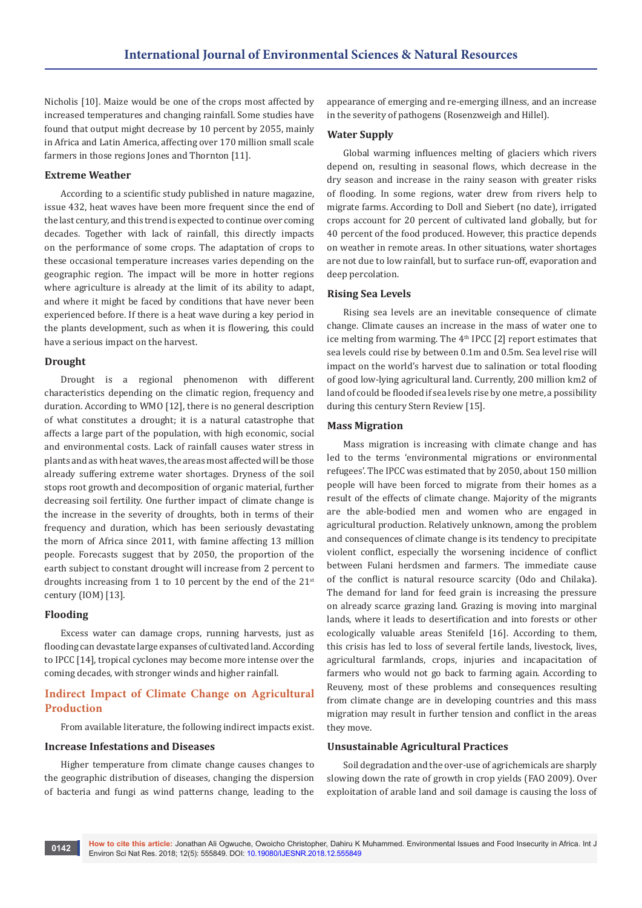Nicholis [10]. Maize would be one of the crops most affected by increased temperatures and changing rainfall. Some studies have found that output might decrease by 10 percent by 2055, mainly in Africa and Latin America, affecting over 170 million small scale farmers in those regions Jones and Thornton [11].

#### **Extreme Weather**

According to a scientific study published in nature magazine, issue 432, heat waves have been more frequent since the end of the last century, and this trend is expected to continue over coming decades. Together with lack of rainfall, this directly impacts on the performance of some crops. The adaptation of crops to these occasional temperature increases varies depending on the geographic region. The impact will be more in hotter regions where agriculture is already at the limit of its ability to adapt, and where it might be faced by conditions that have never been experienced before. If there is a heat wave during a key period in the plants development, such as when it is flowering, this could have a serious impact on the harvest.

#### **Drought**

Drought is a regional phenomenon with different characteristics depending on the climatic region, frequency and duration. According to WMO [12], there is no general description of what constitutes a drought; it is a natural catastrophe that affects a large part of the population, with high economic, social and environmental costs. Lack of rainfall causes water stress in plants and as with heat waves, the areas most affected will be those already suffering extreme water shortages. Dryness of the soil stops root growth and decomposition of organic material, further decreasing soil fertility. One further impact of climate change is the increase in the severity of droughts, both in terms of their frequency and duration, which has been seriously devastating the morn of Africa since 2011, with famine affecting 13 million people. Forecasts suggest that by 2050, the proportion of the earth subject to constant drought will increase from 2 percent to droughts increasing from 1 to 10 percent by the end of the 21<sup>st</sup> century (IOM) [13].

#### **Flooding**

Excess water can damage crops, running harvests, just as flooding can devastate large expanses of cultivated land. According to IPCC [14], tropical cyclones may become more intense over the coming decades, with stronger winds and higher rainfall.

# **Indirect Impact of Climate Change on Agricultural Production**

From available literature, the following indirect impacts exist.

#### **Increase Infestations and Diseases**

Higher temperature from climate change causes changes to the geographic distribution of diseases, changing the dispersion of bacteria and fungi as wind patterns change, leading to the appearance of emerging and re-emerging illness, and an increase in the severity of pathogens (Rosenzweigh and Hillel).

### **Water Supply**

Global warming influences melting of glaciers which rivers depend on, resulting in seasonal flows, which decrease in the dry season and increase in the rainy season with greater risks of flooding. In some regions, water drew from rivers help to migrate farms. According to Doll and Siebert (no date), irrigated crops account for 20 percent of cultivated land globally, but for 40 percent of the food produced. However, this practice depends on weather in remote areas. In other situations, water shortages are not due to low rainfall, but to surface run-off, evaporation and deep percolation.

#### **Rising Sea Levels**

Rising sea levels are an inevitable consequence of climate change. Climate causes an increase in the mass of water one to ice melting from warming. The  $4<sup>th</sup>$  IPCC [2] report estimates that sea levels could rise by between 0.1m and 0.5m. Sea level rise will impact on the world's harvest due to salination or total flooding of good low-lying agricultural land. Currently, 200 million km2 of land of could be flooded if sea levels rise by one metre, a possibility during this century Stern Review [15].

#### **Mass Migration**

Mass migration is increasing with climate change and has led to the terms 'environmental migrations or environmental refugees'. The IPCC was estimated that by 2050, about 150 million people will have been forced to migrate from their homes as a result of the effects of climate change. Majority of the migrants are the able-bodied men and women who are engaged in agricultural production. Relatively unknown, among the problem and consequences of climate change is its tendency to precipitate violent conflict, especially the worsening incidence of conflict between Fulani herdsmen and farmers. The immediate cause of the conflict is natural resource scarcity (Odo and Chilaka). The demand for land for feed grain is increasing the pressure on already scarce grazing land. Grazing is moving into marginal lands, where it leads to desertification and into forests or other ecologically valuable areas Stenifeld [16]. According to them, this crisis has led to loss of several fertile lands, livestock, lives, agricultural farmlands, crops, injuries and incapacitation of farmers who would not go back to farming again. According to Reuveny, most of these problems and consequences resulting from climate change are in developing countries and this mass migration may result in further tension and conflict in the areas they move.

#### **Unsustainable Agricultural Practices**

Soil degradation and the over-use of agrichemicals are sharply slowing down the rate of growth in crop yields (FAO 2009). Over exploitation of arable land and soil damage is causing the loss of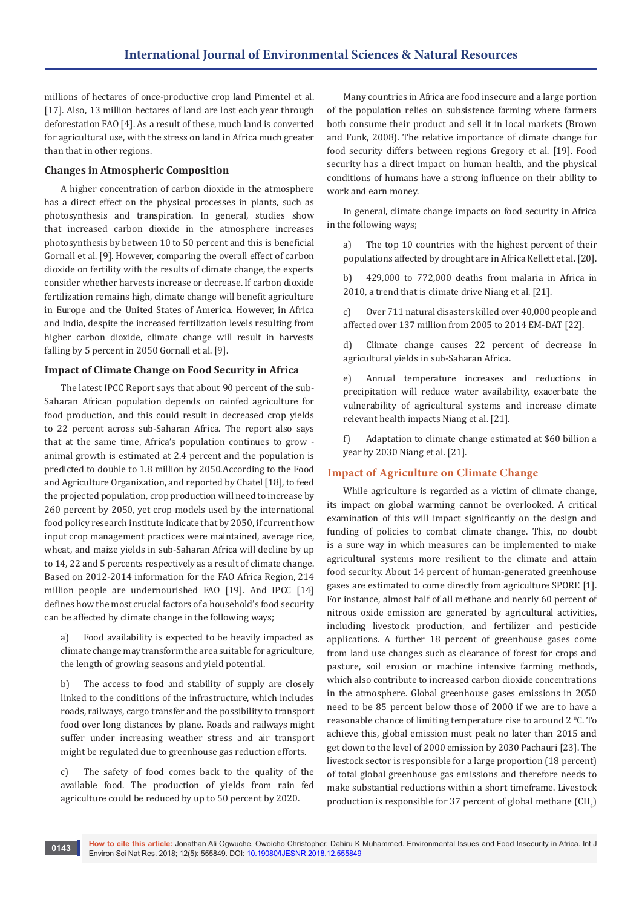millions of hectares of once-productive crop land Pimentel et al. [17]. Also, 13 million hectares of land are lost each year through deforestation FAO [4]. As a result of these, much land is converted for agricultural use, with the stress on land in Africa much greater than that in other regions.

# **Changes in Atmospheric Composition**

A higher concentration of carbon dioxide in the atmosphere has a direct effect on the physical processes in plants, such as photosynthesis and transpiration. In general, studies show that increased carbon dioxide in the atmosphere increases photosynthesis by between 10 to 50 percent and this is beneficial Gornall et al. [9]. However, comparing the overall effect of carbon dioxide on fertility with the results of climate change, the experts consider whether harvests increase or decrease. If carbon dioxide fertilization remains high, climate change will benefit agriculture in Europe and the United States of America. However, in Africa and India, despite the increased fertilization levels resulting from higher carbon dioxide, climate change will result in harvests falling by 5 percent in 2050 Gornall et al. [9].

#### **Impact of Climate Change on Food Security in Africa**

The latest IPCC Report says that about 90 percent of the sub-Saharan African population depends on rainfed agriculture for food production, and this could result in decreased crop yields to 22 percent across sub-Saharan Africa. The report also says that at the same time, Africa's population continues to grow animal growth is estimated at 2.4 percent and the population is predicted to double to 1.8 million by 2050.According to the Food and Agriculture Organization, and reported by Chatel [18], to feed the projected population, crop production will need to increase by 260 percent by 2050, yet crop models used by the international food policy research institute indicate that by 2050, if current how input crop management practices were maintained, average rice, wheat, and maize yields in sub-Saharan Africa will decline by up to 14, 22 and 5 percents respectively as a result of climate change. Based on 2012-2014 information for the FAO Africa Region, 214 million people are undernourished FAO [19]. And IPCC [14] defines how the most crucial factors of a household's food security can be affected by climate change in the following ways;

a) Food availability is expected to be heavily impacted as climate change may transform the area suitable for agriculture, the length of growing seasons and yield potential.

b) The access to food and stability of supply are closely linked to the conditions of the infrastructure, which includes roads, railways, cargo transfer and the possibility to transport food over long distances by plane. Roads and railways might suffer under increasing weather stress and air transport might be regulated due to greenhouse gas reduction efforts.

c) The safety of food comes back to the quality of the available food. The production of yields from rain fed agriculture could be reduced by up to 50 percent by 2020.

Many countries in Africa are food insecure and a large portion of the population relies on subsistence farming where farmers both consume their product and sell it in local markets (Brown and Funk, 2008). The relative importance of climate change for food security differs between regions Gregory et al. [19]. Food security has a direct impact on human health, and the physical conditions of humans have a strong influence on their ability to work and earn money.

In general, climate change impacts on food security in Africa in the following ways;

a) The top 10 countries with the highest percent of their populations affected by drought are in Africa Kellett et al. [20].

b) 429,000 to 772,000 deaths from malaria in Africa in 2010, a trend that is climate drive Niang et al. [21].

c) Over 711 natural disasters killed over 40,000 people and affected over 137 million from 2005 to 2014 EM-DAT [22].

d) Climate change causes 22 percent of decrease in agricultural yields in sub-Saharan Africa.

e) Annual temperature increases and reductions in precipitation will reduce water availability, exacerbate the vulnerability of agricultural systems and increase climate relevant health impacts Niang et al. [21].

f) Adaptation to climate change estimated at \$60 billion a year by 2030 Niang et al. [21].

#### **Impact of Agriculture on Climate Change**

While agriculture is regarded as a victim of climate change, its impact on global warming cannot be overlooked. A critical examination of this will impact significantly on the design and funding of policies to combat climate change. This, no doubt is a sure way in which measures can be implemented to make agricultural systems more resilient to the climate and attain food security. About 14 percent of human-generated greenhouse gases are estimated to come directly from agriculture SPORE [1]. For instance, almost half of all methane and nearly 60 percent of nitrous oxide emission are generated by agricultural activities, including livestock production, and fertilizer and pesticide applications. A further 18 percent of greenhouse gases come from land use changes such as clearance of forest for crops and pasture, soil erosion or machine intensive farming methods, which also contribute to increased carbon dioxide concentrations in the atmosphere. Global greenhouse gases emissions in 2050 need to be 85 percent below those of 2000 if we are to have a reasonable chance of limiting temperature rise to around 2 °C. To achieve this, global emission must peak no later than 2015 and get down to the level of 2000 emission by 2030 Pachauri [23]. The livestock sector is responsible for a large proportion (18 percent) of total global greenhouse gas emissions and therefore needs to make substantial reductions within a short timeframe. Livestock production is responsible for 37 percent of global methane  $(\mathsf{CH}_4)$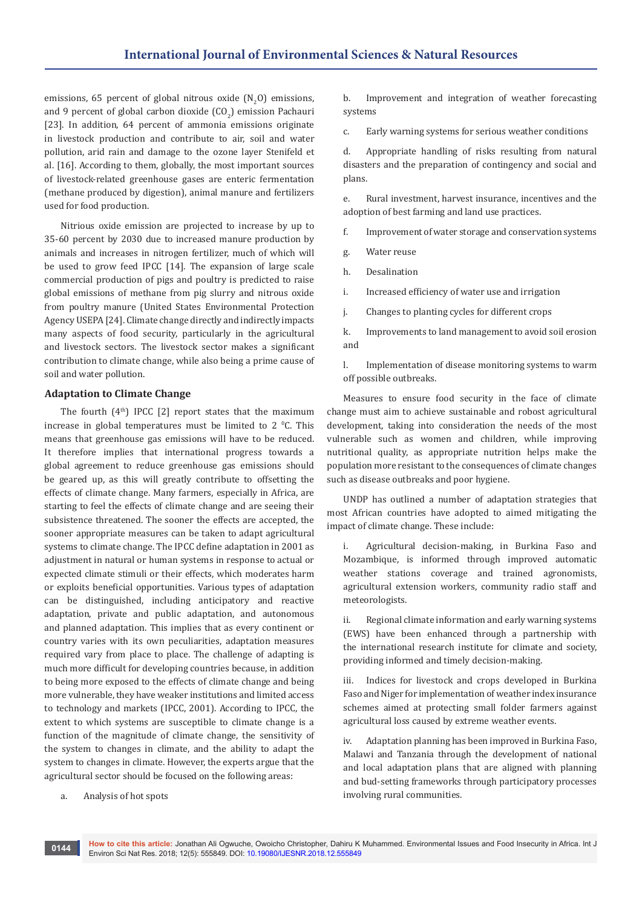emissions, 65 percent of global nitrous oxide  $(N_2O)$  emissions, and 9 percent of global carbon dioxide  $\left({\mathbb{C}}{\mathbb{O}}_2\right)$  emission Pachauri [23]. In addition, 64 percent of ammonia emissions originate in livestock production and contribute to air, soil and water pollution, arid rain and damage to the ozone layer Stenifeld et al. [16]. According to them, globally, the most important sources of livestock-related greenhouse gases are enteric fermentation (methane produced by digestion), animal manure and fertilizers used for food production.

Nitrious oxide emission are projected to increase by up to 35-60 percent by 2030 due to increased manure production by animals and increases in nitrogen fertilizer, much of which will be used to grow feed IPCC [14]. The expansion of large scale commercial production of pigs and poultry is predicted to raise global emissions of methane from pig slurry and nitrous oxide from poultry manure (United States Environmental Protection Agency USEPA [24]. Climate change directly and indirectly impacts many aspects of food security, particularly in the agricultural and livestock sectors. The livestock sector makes a significant contribution to climate change, while also being a prime cause of soil and water pollution.

#### **Adaptation to Climate Change**

The fourth  $(4<sup>th</sup>)$  IPCC  $[2]$  report states that the maximum increase in global temperatures must be limited to 2  $°C$ . This means that greenhouse gas emissions will have to be reduced. It therefore implies that international progress towards a global agreement to reduce greenhouse gas emissions should be geared up, as this will greatly contribute to offsetting the effects of climate change. Many farmers, especially in Africa, are starting to feel the effects of climate change and are seeing their subsistence threatened. The sooner the effects are accepted, the sooner appropriate measures can be taken to adapt agricultural systems to climate change. The IPCC define adaptation in 2001 as adjustment in natural or human systems in response to actual or expected climate stimuli or their effects, which moderates harm or exploits beneficial opportunities. Various types of adaptation can be distinguished, including anticipatory and reactive adaptation, private and public adaptation, and autonomous and planned adaptation. This implies that as every continent or country varies with its own peculiarities, adaptation measures required vary from place to place. The challenge of adapting is much more difficult for developing countries because, in addition to being more exposed to the effects of climate change and being more vulnerable, they have weaker institutions and limited access to technology and markets (IPCC, 2001). According to IPCC, the extent to which systems are susceptible to climate change is a function of the magnitude of climate change, the sensitivity of the system to changes in climate, and the ability to adapt the system to changes in climate. However, the experts argue that the agricultural sector should be focused on the following areas:

b. Improvement and integration of weather forecasting systems

c. Early warning systems for serious weather conditions

d. Appropriate handling of risks resulting from natural disasters and the preparation of contingency and social and plans.

e. Rural investment, harvest insurance, incentives and the adoption of best farming and land use practices.

f. Improvement of water storage and conservation systems

- g. Water reuse
- h. Desalination

i. Increased efficiency of water use and irrigation

j. Changes to planting cycles for different crops

k. Improvements to land management to avoid soil erosion and

l. Implementation of disease monitoring systems to warm off possible outbreaks.

Measures to ensure food security in the face of climate change must aim to achieve sustainable and robost agricultural development, taking into consideration the needs of the most vulnerable such as women and children, while improving nutritional quality, as appropriate nutrition helps make the population more resistant to the consequences of climate changes such as disease outbreaks and poor hygiene.

UNDP has outlined a number of adaptation strategies that most African countries have adopted to aimed mitigating the impact of climate change. These include:

i. Agricultural decision-making, in Burkina Faso and Mozambique, is informed through improved automatic weather stations coverage and trained agronomists, agricultural extension workers, community radio staff and meteorologists.

Regional climate information and early warning systems (EWS) have been enhanced through a partnership with the international research institute for climate and society, providing informed and timely decision-making.

iii. Indices for livestock and crops developed in Burkina Faso and Niger for implementation of weather index insurance schemes aimed at protecting small folder farmers against agricultural loss caused by extreme weather events.

iv. Adaptation planning has been improved in Burkina Faso, Malawi and Tanzania through the development of national and local adaptation plans that are aligned with planning and bud-setting frameworks through participatory processes involving rural communities.

a. Analysis of hot spots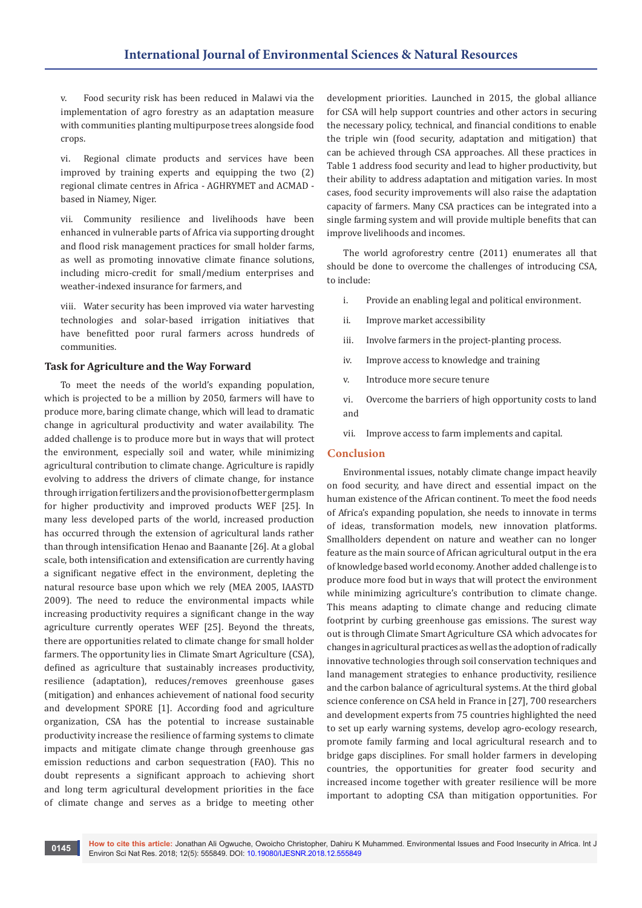v. Food security risk has been reduced in Malawi via the implementation of agro forestry as an adaptation measure with communities planting multipurpose trees alongside food crops.

vi. Regional climate products and services have been improved by training experts and equipping the two (2) regional climate centres in Africa - AGHRYMET and ACMAD based in Niamey, Niger.

vii. Community resilience and livelihoods have been enhanced in vulnerable parts of Africa via supporting drought and flood risk management practices for small holder farms, as well as promoting innovative climate finance solutions, including micro-credit for small/medium enterprises and weather-indexed insurance for farmers, and

viii. Water security has been improved via water harvesting technologies and solar-based irrigation initiatives that have benefitted poor rural farmers across hundreds of communities.

#### **Task for Agriculture and the Way Forward**

To meet the needs of the world's expanding population, which is projected to be a million by 2050, farmers will have to produce more, baring climate change, which will lead to dramatic change in agricultural productivity and water availability. The added challenge is to produce more but in ways that will protect the environment, especially soil and water, while minimizing agricultural contribution to climate change. Agriculture is rapidly evolving to address the drivers of climate change, for instance through irrigation fertilizers and the provision of better germplasm for higher productivity and improved products WEF [25]. In many less developed parts of the world, increased production has occurred through the extension of agricultural lands rather than through intensification Henao and Baanante [26]. At a global scale, both intensification and extensification are currently having a significant negative effect in the environment, depleting the natural resource base upon which we rely (MEA 2005, IAASTD 2009). The need to reduce the environmental impacts while increasing productivity requires a significant change in the way agriculture currently operates WEF [25]. Beyond the threats, there are opportunities related to climate change for small holder farmers. The opportunity lies in Climate Smart Agriculture (CSA), defined as agriculture that sustainably increases productivity, resilience (adaptation), reduces/removes greenhouse gases (mitigation) and enhances achievement of national food security and development SPORE [1]. According food and agriculture organization, CSA has the potential to increase sustainable productivity increase the resilience of farming systems to climate impacts and mitigate climate change through greenhouse gas emission reductions and carbon sequestration (FAO). This no doubt represents a significant approach to achieving short and long term agricultural development priorities in the face of climate change and serves as a bridge to meeting other

development priorities. Launched in 2015, the global alliance for CSA will help support countries and other actors in securing the necessary policy, technical, and financial conditions to enable the triple win (food security, adaptation and mitigation) that can be achieved through CSA approaches. All these practices in Table 1 address food security and lead to higher productivity, but their ability to address adaptation and mitigation varies. In most cases, food security improvements will also raise the adaptation capacity of farmers. Many CSA practices can be integrated into a single farming system and will provide multiple benefits that can improve livelihoods and incomes.

The world agroforestry centre (2011) enumerates all that should be done to overcome the challenges of introducing CSA, to include:

- i. Provide an enabling legal and political environment.
- ii. Improve market accessibility
- iii. Involve farmers in the project-planting process.
- iv. Improve access to knowledge and training
- v. Introduce more secure tenure
- vi. Overcome the barriers of high opportunity costs to land and
- vii. Improve access to farm implements and capital.

#### **Conclusion**

Environmental issues, notably climate change impact heavily on food security, and have direct and essential impact on the human existence of the African continent. To meet the food needs of Africa's expanding population, she needs to innovate in terms of ideas, transformation models, new innovation platforms. Smallholders dependent on nature and weather can no longer feature as the main source of African agricultural output in the era of knowledge based world economy. Another added challenge is to produce more food but in ways that will protect the environment while minimizing agriculture's contribution to climate change. This means adapting to climate change and reducing climate footprint by curbing greenhouse gas emissions. The surest way out is through Climate Smart Agriculture CSA which advocates for changes in agricultural practices as well as the adoption of radically innovative technologies through soil conservation techniques and land management strategies to enhance productivity, resilience and the carbon balance of agricultural systems. At the third global science conference on CSA held in France in [27], 700 researchers and development experts from 75 countries highlighted the need to set up early warning systems, develop agro-ecology research, promote family farming and local agricultural research and to bridge gaps disciplines. For small holder farmers in developing countries, the opportunities for greater food security and increased income together with greater resilience will be more important to adopting CSA than mitigation opportunities. For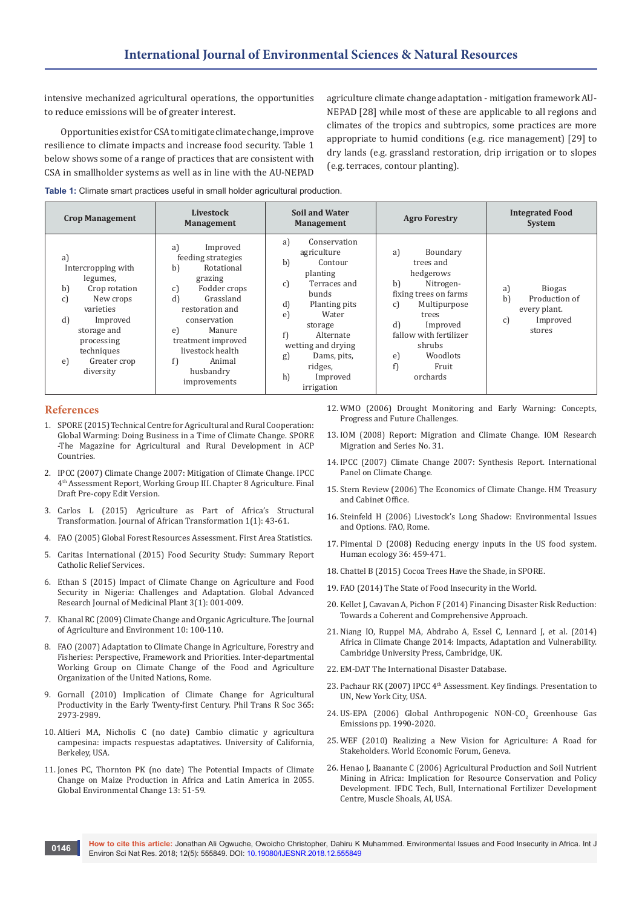intensive mechanized agricultural operations, the opportunities to reduce emissions will be of greater interest.

Opportunities exist for CSA to mitigate climate change, improve resilience to climate impacts and increase food security. Table 1 below shows some of a range of practices that are consistent with CSA in smallholder systems as well as in line with the AU-NEPAD agriculture climate change adaptation - mitigation framework AU-NEPAD [28] while most of these are applicable to all regions and climates of the tropics and subtropics, some practices are more appropriate to humid conditions (e.g. rice management) [29] to dry lands (e.g. grassland restoration, drip irrigation or to slopes (e.g. terraces, contour planting).

**Table 1:** Climate smart practices useful in small holder agricultural production.

| <b>Crop Management</b>                                                                                                                                                                      | Livestock<br><b>Management</b>                                                                                                                                                                                                                                   | <b>Soil and Water</b><br><b>Management</b>                                                                                                                                                                                                                                  | <b>Agro Forestry</b>                                                                                                                                                                                                  | <b>Integrated Food</b><br><b>System</b>                                                |
|---------------------------------------------------------------------------------------------------------------------------------------------------------------------------------------------|------------------------------------------------------------------------------------------------------------------------------------------------------------------------------------------------------------------------------------------------------------------|-----------------------------------------------------------------------------------------------------------------------------------------------------------------------------------------------------------------------------------------------------------------------------|-----------------------------------------------------------------------------------------------------------------------------------------------------------------------------------------------------------------------|----------------------------------------------------------------------------------------|
| a)<br>Intercropping with<br>legumes,<br>b)<br>Crop rotation<br>c)<br>New crops<br>varieties<br>d)<br>Improved<br>storage and<br>processing<br>techniques<br>Greater crop<br>e)<br>diversity | a)<br>Improved<br>feeding strategies<br>b)<br>Rotational<br>grazing<br>Fodder crops<br>$\mathbf{C}$<br>d)<br>Grassland<br>restoration and<br>conservation<br>Manure<br>e)<br>treatment improved<br>livestock health<br>Animal<br>f)<br>husbandry<br>improvements | a)<br>Conservation<br>agriculture<br>$\mathbf{b}$<br>Contour<br>planting<br>Terraces and<br>c)<br>bunds<br>$\mathbf{d}$<br>Planting pits<br>Water<br>e)<br>storage<br>f)<br>Alternate<br>wetting and drying<br>Dams, pits,<br>g)<br>ridges,<br>h)<br>Improved<br>irrigation | Boundary<br>a)<br>trees and<br>hedgerows<br>b)<br>Nitrogen-<br>fixing trees on farms<br>Multipurpose<br>c)<br>trees<br>d<br>Improved<br>fallow with fertilizer<br>shrubs<br>Woodlots<br>e)<br>f)<br>Fruit<br>orchards | <b>Biogas</b><br>a)<br>b)<br>Production of<br>every plant.<br>Improved<br>c)<br>stores |

## **References**

- 1. [SPORE \(2015\) Technical Centre for Agricultural and Rural Cooperation:](http://spore.cta.int/images/magazines/Spore-HS-2015-EN-Web.pdf)  [Global Warming: Doing Business in a Time of Climate Change. SPORE](http://spore.cta.int/images/magazines/Spore-HS-2015-EN-Web.pdf)  [-The Magazine for Agricultural and Rural Development in ACP](http://spore.cta.int/images/magazines/Spore-HS-2015-EN-Web.pdf)  [Countries.](http://spore.cta.int/images/magazines/Spore-HS-2015-EN-Web.pdf)
- 2. [IPCC \(2007\) Climate Change 2007: Mitigation of Climate Change. IPCC](https://www.ipcc.ch/pdf/assessment-report/ar4/wg3/ar4_wg3_full_report.pdf)  [4th Assessment Report, Working Group III. Chapter 8 Agriculture. Final](https://www.ipcc.ch/pdf/assessment-report/ar4/wg3/ar4_wg3_full_report.pdf)  [Draft Pre-copy Edit Version.](https://www.ipcc.ch/pdf/assessment-report/ar4/wg3/ar4_wg3_full_report.pdf)
- 3. [Carlos L \(2015\) Agriculture as Part of Africa's Structural](http://repository.uneca.org/handle/10855/23254)  [Transformation. Journal of African Transformation 1\(1\): 43-61.](http://repository.uneca.org/handle/10855/23254)
- 4. FAO (2005) Global Forest Resources Assessment. First Area Statistics.
- 5. [Caritas International \(2015\) Food Security Study: Summary Report](https://reliefweb.int/report/world/caritas-internationalis-food-security-study-summary-report-may-2015)  [Catholic Relief Services.](https://reliefweb.int/report/world/caritas-internationalis-food-security-study-summary-report-may-2015)
- 6. Ethan S (2015) Impact of Climate Change on Agriculture and Food Security in Nigeria: Challenges and Adaptation. Global Advanced Research Journal of Medicinal Plant 3(1): 001-009.
- 7. [Khanal RC \(2009\) Climate Change and Organic Agriculture. The Journal](https://www.nepjol.info/index.php/AEJ/article/view/2136)  [of Agriculture and Environment 10: 100-110.](https://www.nepjol.info/index.php/AEJ/article/view/2136)
- 8. [FAO \(2007\) Adaptation to Climate Change in Agriculture, Forestry and](http://www.fao.org/nr/climpag/pub/adaptation_to_climate_change_2007.pdf)  [Fisheries: Perspective, Framework and Priorities. Inter-departmental](http://www.fao.org/nr/climpag/pub/adaptation_to_climate_change_2007.pdf)  [Working Group on Climate Change of the Food and Agriculture](http://www.fao.org/nr/climpag/pub/adaptation_to_climate_change_2007.pdf)  [Organization of the United Nations, Rome.](http://www.fao.org/nr/climpag/pub/adaptation_to_climate_change_2007.pdf)
- 9. [Gornall \(2010\) Implication of Climate Change for Agricultural](http://rstb.royalsocietypublishing.org/content/365/1554/2973)  [Productivity in the Early Twenty-first Century. Phil Trans R Soc 365:](http://rstb.royalsocietypublishing.org/content/365/1554/2973)  [2973-2989.](http://rstb.royalsocietypublishing.org/content/365/1554/2973)
- 10. [Altieri MA, Nicholis C \(no date\) Cambio climatic y agricultura](http://socla.co/wp-content/uploads/2014/leisa-campesino-cambio-climatico.pdf)  [campesina: impacts respuestas adaptatives. University of California,](http://socla.co/wp-content/uploads/2014/leisa-campesino-cambio-climatico.pdf)  [Berkeley, USA.](http://socla.co/wp-content/uploads/2014/leisa-campesino-cambio-climatico.pdf)
- 11. [Jones PC, Thornton PK \(no date\) The Potential Impacts of Climate](https://www.researchgate.net/publication/222398411_The_potential_impacts_of_climate_change_in_maize_production_in_Africa_and_Latin_America_in_2055_Glob_Environ_Chang)  [Change on Maize Production in Africa and Latin America in 2055.](https://www.researchgate.net/publication/222398411_The_potential_impacts_of_climate_change_in_maize_production_in_Africa_and_Latin_America_in_2055_Glob_Environ_Chang)  [Global Environmental Change 13: 51-59.](https://www.researchgate.net/publication/222398411_The_potential_impacts_of_climate_change_in_maize_production_in_Africa_and_Latin_America_in_2055_Glob_Environ_Chang)
- 12. [WMO \(2006\) Drought Monitoring and Early Warning: Concepts,](https://public.wmo.int/en/resources/library/drought-monitoring-and-early-warning-concepts-progress-and-future-challenges)  [Progress and Future Challenges.](https://public.wmo.int/en/resources/library/drought-monitoring-and-early-warning-concepts-progress-and-future-challenges)
- 13. [IOM \(2008\) Report: Migration and Climate Change. IOM Research](https://www.iom.int/news/iom-migration-research-series-no-31-migration-and-climate-change)  [Migration and Series No. 31.](https://www.iom.int/news/iom-migration-research-series-no-31-migration-and-climate-change)
- 14. [IPCC \(2007\) Climate Change 2007: Synthesis Report. International](https://www.ipcc.ch/pdf/assessment-report/ar4/syr/ar4_syr_full_report.pdf)  [Panel on Climate Change.](https://www.ipcc.ch/pdf/assessment-report/ar4/syr/ar4_syr_full_report.pdf)
- 15. [Stern Review \(2006\) The Economics of Climate Change. HM Treasury](http://webarchive.nationalarchives.gov.uk/+/http:/www.hm-treasury.gov.uk/sternreview_index.htm)  [and Cabinet Office.](http://webarchive.nationalarchives.gov.uk/+/http:/www.hm-treasury.gov.uk/sternreview_index.htm)
- 16. [Steinfeld H \(2006\) Livestock's Long Shadow: Environmental Issues](http://www.fao.org/docrep/010/a0701e/a0701e00.HTM)  [and Options. FAO, Rome.](http://www.fao.org/docrep/010/a0701e/a0701e00.HTM)
- 17. Pimental D (2008) Reducing energy inputs in the US food system. Human ecology 36: 459-471.
- 18. [Chattel B \(2015\) Cocoa Trees Have the Shade, in SPORE.](http://www.worldagroforestry.org/treesandmarkets/inaforesta/documents/agrof_cons_biodiv/Ch.3-Growing-Cocoa-Beans.pdf)
- 19. [FAO \(2014\) The State of Food Insecurity in the World](http://www.fao.org/3/a-14030e.pdf.).
- 20. [Kellet J, Cavavan A, Pichon F \(2014\) Financing Disaster Risk Reduction:](https://www.odi.org/publications/8347-financing-disaster-risk-reduction-towards-coherent-and-comprehensive-approach)  [Towards a Coherent and Comprehensive Approach.](https://www.odi.org/publications/8347-financing-disaster-risk-reduction-towards-coherent-and-comprehensive-approach)
- 21. [Niang IO, Ruppel MA, Abdrabo A, Essel C, Lennard J, et al. \(2014\)](http://www.scirp.org/(S(351jmbntvnsjt1aadkposzje))/reference/ReferencesPapers.aspx?ReferenceID=1544123)  [Africa in Climate Change 2014: Impacts, Adaptation and Vulnerability.](http://www.scirp.org/(S(351jmbntvnsjt1aadkposzje))/reference/ReferencesPapers.aspx?ReferenceID=1544123)  [Cambridge University Press, Cambridge, UK.](http://www.scirp.org/(S(351jmbntvnsjt1aadkposzje))/reference/ReferencesPapers.aspx?ReferenceID=1544123)
- 22. [EM-DAT The International Disaster Database.](http://www.emdat.be.)
- 23. Pachaur RK (2007) IPCC 4<sup>th</sup> Assessment. Key findings. Presentation to UN, New York City, USA.
- 24. US-EPA (2006) Global Anthropogenic NON-CO<sub>2</sub> Greenhouse Gas [Emissions pp. 1990-2020.](https://nepis.epa.gov/Exe/ZyNET.exe/2000ZL5G.TXT?ZyActionD=ZyDocument&Client=EPA&Index=2006+Thru+2010&Docs=&Query=&Time=&EndTime=&SearchMethod=1&TocRestrict=n&Toc=&TocEntry=&QField=&QFieldYear=&QFieldMonth=&QFieldDay=&IntQFieldOp=0&ExtQFieldOp=0&XmlQuery=&)
- 25. [WEF \(2010\) Realizing a New Vision for Agriculture: A Road for](https://www.weforum.org/reports/realizing-new-vision-agriculture-roadmap-stakeholders)  [Stakeholders. World Economic Forum, Geneva.](https://www.weforum.org/reports/realizing-new-vision-agriculture-roadmap-stakeholders)
- 26. [Henao J, Baanante C \(2006\) Agricultural Production and Soil Nutrient](https://vtechworks.lib.vt.edu/bitstream/handle/10919/68832/4566_Henao2006_Ag_production_nutrient_mining_.pdf?sequence=1)  [Mining in Africa: Implication for Resource Conservation and Policy](https://vtechworks.lib.vt.edu/bitstream/handle/10919/68832/4566_Henao2006_Ag_production_nutrient_mining_.pdf?sequence=1)  [Development. IFDC Tech, Bull, International Fertilizer Development](https://vtechworks.lib.vt.edu/bitstream/handle/10919/68832/4566_Henao2006_Ag_production_nutrient_mining_.pdf?sequence=1)  [Centre, Muscle Shoals, AI, USA.](https://vtechworks.lib.vt.edu/bitstream/handle/10919/68832/4566_Henao2006_Ag_production_nutrient_mining_.pdf?sequence=1)